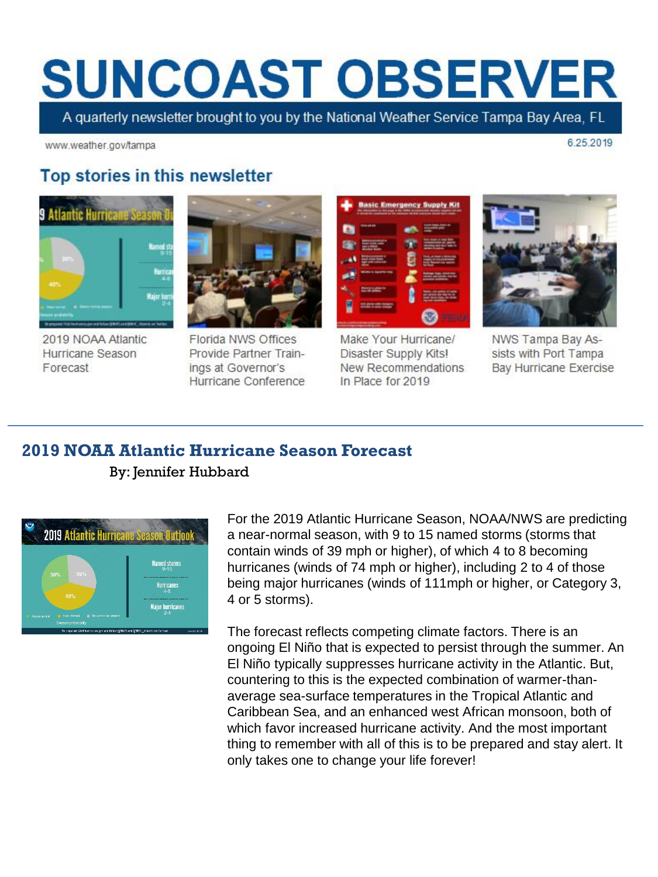# **SUNCOAST OBSERVER**

A quarterly newsletter brought to you by the National Weather Service Tampa Bay Area, FL

www.weather.gov/tampa

6.25.2019

## Top stories in this newsletter



2019 NOAA Atlantic Hurricane Season Forecast



**Florida NWS Offices** Provide Partner Trainings at Governor's Hurricane Conference



Make Your Hurricane/ Disaster Supply Kits! New Recommendations In Place for 2019



NWS Tampa Bay Assists with Port Tampa **Bay Hurricane Exercise** 

### **2019 NOAA Atlantic Hurricane Season Forecast**

#### By: Jennifer Hubbard



For the 2019 Atlantic Hurricane Season, NOAA/NWS are predicting a near-normal season, with 9 to 15 named storms (storms that contain winds of 39 mph or higher), of which 4 to 8 becoming hurricanes (winds of 74 mph or higher), including 2 to 4 of those being major hurricanes (winds of 111mph or higher, or Category 3, 4 or 5 storms).

The forecast reflects competing climate factors. There is an ongoing El Niño that is expected to persist through the summer. An El Niño typically suppresses hurricane activity in the Atlantic. But, countering to this is the expected combination of warmer-thanaverage sea-surface temperatures in the Tropical Atlantic and Caribbean Sea, and an enhanced west African monsoon, both of which favor increased hurricane activity. And the most important thing to remember with all of this is to be prepared and stay alert. It only takes one to change your life forever!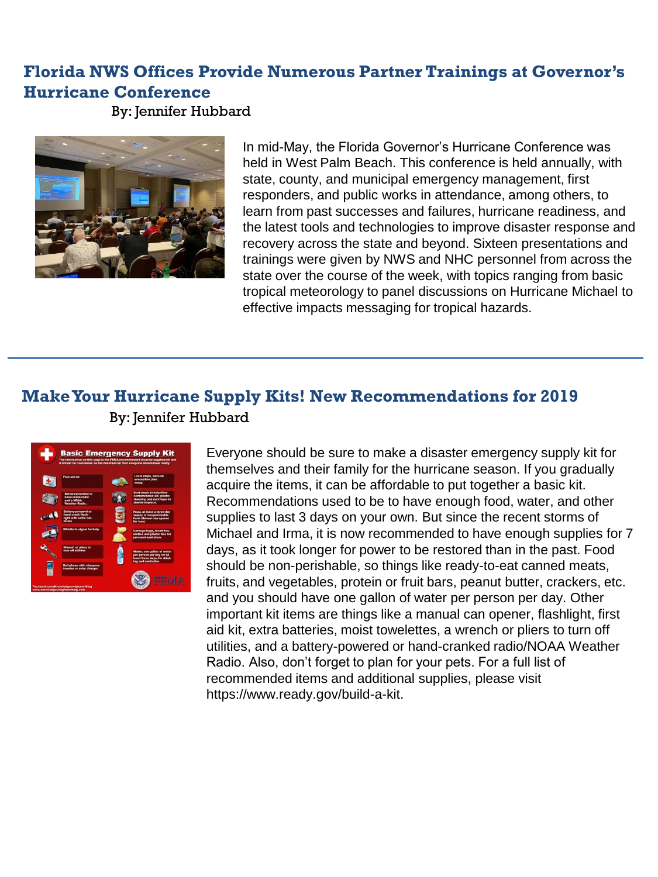# **Florida NWS Offices Provide Numerous Partner Trainings at Governor's Hurricane Conference**

By: Jennifer Hubbard



In mid-May, the Florida Governor's Hurricane Conference was held in West Palm Beach. This conference is held annually, with state, county, and municipal emergency management, first responders, and public works in attendance, among others, to learn from past successes and failures, hurricane readiness, and the latest tools and technologies to improve disaster response and recovery across the state and beyond. Sixteen presentations and trainings were given by NWS and NHC personnel from across the state over the course of the week, with topics ranging from basic tropical meteorology to panel discussions on Hurricane Michael to effective impacts messaging for tropical hazards.

# **Make Your Hurricane Supply Kits! New Recommendations for 2019**  By: Jennifer Hubbard



Everyone should be sure to make a disaster emergency supply kit for themselves and their family for the hurricane season. If you gradually acquire the items, it can be affordable to put together a basic kit. Recommendations used to be to have enough food, water, and other supplies to last 3 days on your own. But since the recent storms of Michael and Irma, it is now recommended to have enough supplies for 7 days, as it took longer for power to be restored than in the past. Food should be non-perishable, so things like ready-to-eat canned meats, fruits, and vegetables, protein or fruit bars, peanut butter, crackers, etc. and you should have one gallon of water per person per day. Other important kit items are things like a manual can opener, flashlight, first aid kit, extra batteries, moist towelettes, a wrench or pliers to turn off utilities, and a battery-powered or hand-cranked radio/NOAA Weather Radio. Also, don't forget to plan for your pets. For a full list of recommended items and additional supplies, please visit https://www.ready.gov/build-a-kit.